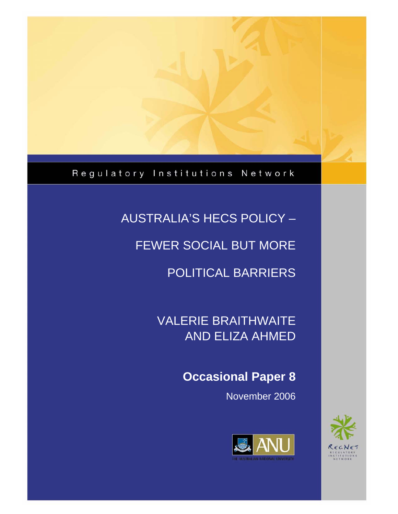# Regulatory Institutions Network

# AUSTRALIA'S HECS POLICY –

FEWER SOCIAL BUT MORE

POLITICAL BARRIERS

VALERIE BRAITHWAITE AND ELIZA AHMED

**Occasional Paper 8** 

November 2006



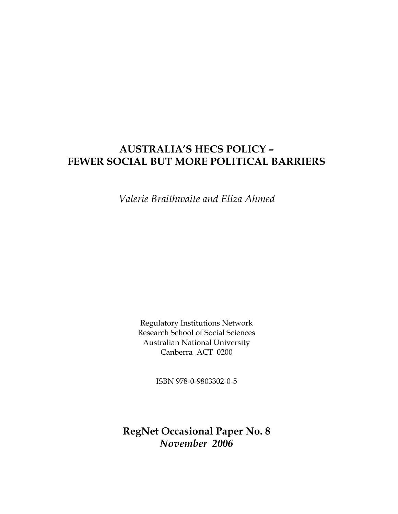# **AUSTRALIA'S HECS POLICY – FEWER SOCIAL BUT MORE POLITICAL BARRIERS**

*Valerie Braithwaite and Eliza Ahmed* 

Regulatory Institutions Network Research School of Social Sciences Australian National University Canberra ACT 0200

ISBN 978-0-9803302-0-5

**RegNet Occasional Paper No. 8**  *November 2006*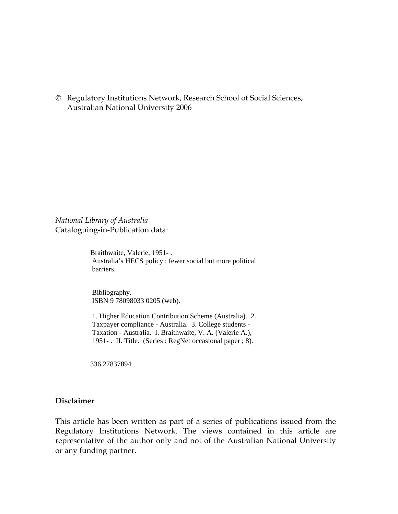© Regulatory Institutions Network, Research School of Social Sciences, Australian National University 2006

*National Library of Australia*  Cataloguing-in-Publication data:

> Braithwaite, Valerie, 1951- . Australia's HECS policy : fewer social but more political barriers.

 Bibliography. ISBN 9 78098033 0205 (web).

 1. Higher Education Contribution Scheme (Australia). 2. Taxpayer compliance - Australia. 3. College students - Taxation - Australia. I. Braithwaite, V. A. (Valerie A.), 1951- . II. Title. (Series : RegNet occasional paper ; 8).

336.27837894

# **Disclaimer**

This article has been written as part of a series of publications issued from the Regulatory Institutions Network. The views contained in this article are representative of the author only and not of the Australian National University or any funding partner.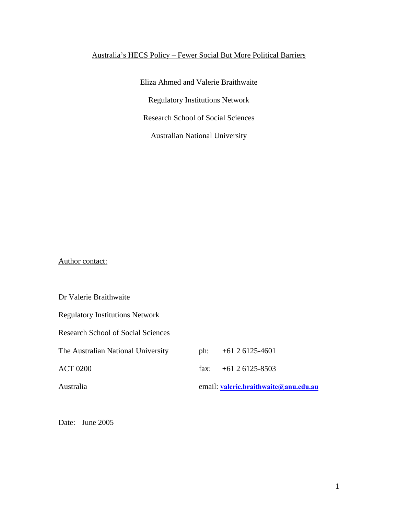# Australia's HECS Policy – Fewer Social But More Political Barriers

Eliza Ahmed and Valerie Braithwaite Regulatory Institutions Network Research School of Social Sciences Australian National University

Author contact:

Dr Valerie Braithwaite Regulatory Institutions Network Research School of Social Sciences The Australian National University ph: +61 2 6125-4601 ACT 0200 fax: +61 2 6125-8503 Australia email: **valerie.braithwaite@anu.edu.au**

Date: June 2005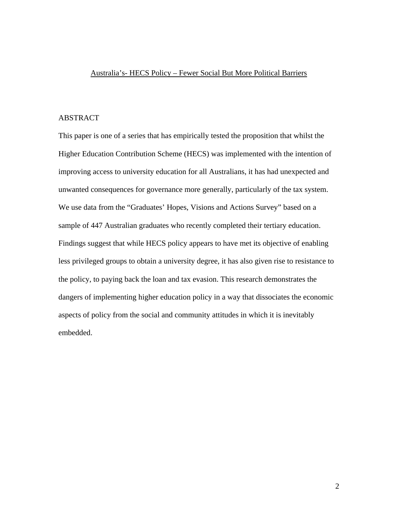#### Australia's- HECS Policy – Fewer Social But More Political Barriers

## ABSTRACT

This paper is one of a series that has empirically tested the proposition that whilst the Higher Education Contribution Scheme (HECS) was implemented with the intention of improving access to university education for all Australians, it has had unexpected and unwanted consequences for governance more generally, particularly of the tax system. We use data from the "Graduates' Hopes, Visions and Actions Survey" based on a sample of 447 Australian graduates who recently completed their tertiary education. Findings suggest that while HECS policy appears to have met its objective of enabling less privileged groups to obtain a university degree, it has also given rise to resistance to the policy, to paying back the loan and tax evasion. This research demonstrates the dangers of implementing higher education policy in a way that dissociates the economic aspects of policy from the social and community attitudes in which it is inevitably embedded.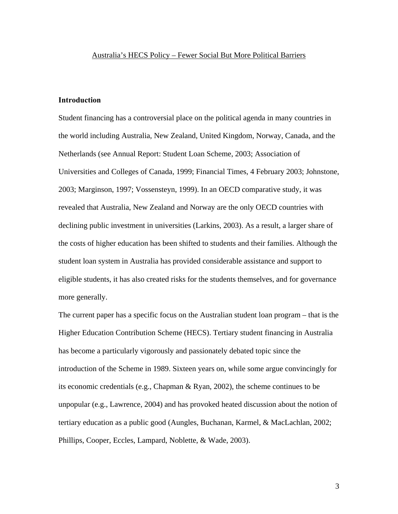### **Introduction**

Student financing has a controversial place on the political agenda in many countries in the world including Australia, New Zealand, United Kingdom, Norway, Canada, and the Netherlands (see Annual Report: Student Loan Scheme, 2003; Association of Universities and Colleges of Canada, 1999; Financial Times, 4 February 2003; Johnstone, 2003; Marginson, 1997; Vossensteyn, 1999). In an OECD comparative study, it was revealed that Australia, New Zealand and Norway are the only OECD countries with declining public investment in universities (Larkins, 2003). As a result, a larger share of the costs of higher education has been shifted to students and their families. Although the student loan system in Australia has provided considerable assistance and support to eligible students, it has also created risks for the students themselves, and for governance more generally.

The current paper has a specific focus on the Australian student loan program – that is the Higher Education Contribution Scheme (HECS). Tertiary student financing in Australia has become a particularly vigorously and passionately debated topic since the introduction of the Scheme in 1989. Sixteen years on, while some argue convincingly for its economic credentials (e.g., Chapman & Ryan, 2002), the scheme continues to be unpopular (e.g., Lawrence, 2004) and has provoked heated discussion about the notion of tertiary education as a public good (Aungles, Buchanan, Karmel, & MacLachlan, 2002; Phillips, Cooper, Eccles, Lampard, Noblette, & Wade, 2003).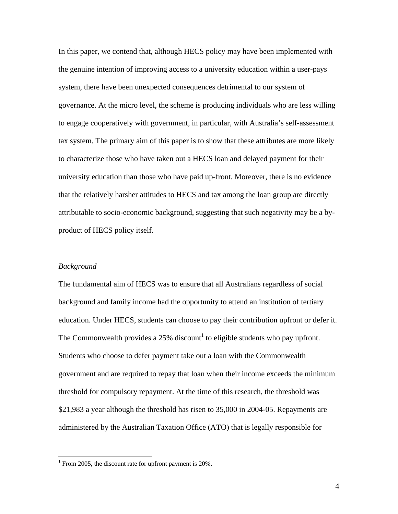In this paper, we contend that, although HECS policy may have been implemented with the genuine intention of improving access to a university education within a user-pays system, there have been unexpected consequences detrimental to our system of governance. At the micro level, the scheme is producing individuals who are less willing to engage cooperatively with government, in particular, with Australia's self-assessment tax system. The primary aim of this paper is to show that these attributes are more likely to characterize those who have taken out a HECS loan and delayed payment for their university education than those who have paid up-front. Moreover, there is no evidence that the relatively harsher attitudes to HECS and tax among the loan group are directly attributable to socio-economic background, suggesting that such negativity may be a byproduct of HECS policy itself.

#### *Background*

 $\overline{a}$ 

The fundamental aim of HECS was to ensure that all Australians regardless of social background and family income had the opportunity to attend an institution of tertiary education. Under HECS, students can choose to pay their contribution upfront or defer it. The Commonwealth provides a 25% discount<sup>1</sup> to eligible students who pay upfront. Students who choose to defer payment take out a loan with the Commonwealth government and are required to repay that loan when their income exceeds the minimum threshold for compulsory repayment. At the time of this research, the threshold was \$21,983 a year although the threshold has risen to 35,000 in 2004-05. Repayments are administered by the Australian Taxation Office (ATO) that is legally responsible for

<sup>&</sup>lt;sup>1</sup> From 2005, the discount rate for upfront payment is  $20\%$ .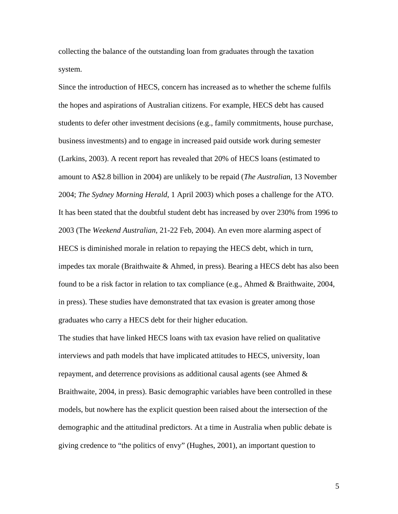collecting the balance of the outstanding loan from graduates through the taxation system.

Since the introduction of HECS, concern has increased as to whether the scheme fulfils the hopes and aspirations of Australian citizens. For example, HECS debt has caused students to defer other investment decisions (e.g., family commitments, house purchase, business investments) and to engage in increased paid outside work during semester (Larkins, 2003). A recent report has revealed that 20% of HECS loans (estimated to amount to A\$2.8 billion in 2004) are unlikely to be repaid (*The Australian*, 13 November 2004; *The Sydney Morning Herald*, 1 April 2003) which poses a challenge for the ATO. It has been stated that the doubtful student debt has increased by over 230% from 1996 to 2003 (The *Weekend Australian,* 21-22 Feb, 2004). An even more alarming aspect of HECS is diminished morale in relation to repaying the HECS debt, which in turn, impedes tax morale (Braithwaite & Ahmed, in press). Bearing a HECS debt has also been found to be a risk factor in relation to tax compliance (e.g., Ahmed & Braithwaite, 2004, in press). These studies have demonstrated that tax evasion is greater among those graduates who carry a HECS debt for their higher education.

The studies that have linked HECS loans with tax evasion have relied on qualitative interviews and path models that have implicated attitudes to HECS, university, loan repayment, and deterrence provisions as additional causal agents (see Ahmed  $\&$ Braithwaite, 2004, in press). Basic demographic variables have been controlled in these models, but nowhere has the explicit question been raised about the intersection of the demographic and the attitudinal predictors. At a time in Australia when public debate is giving credence to "the politics of envy" (Hughes, 2001), an important question to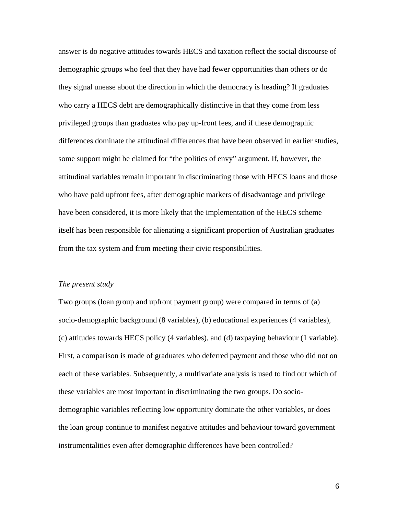answer is do negative attitudes towards HECS and taxation reflect the social discourse of demographic groups who feel that they have had fewer opportunities than others or do they signal unease about the direction in which the democracy is heading? If graduates who carry a HECS debt are demographically distinctive in that they come from less privileged groups than graduates who pay up-front fees, and if these demographic differences dominate the attitudinal differences that have been observed in earlier studies, some support might be claimed for "the politics of envy" argument. If, however, the attitudinal variables remain important in discriminating those with HECS loans and those who have paid upfront fees, after demographic markers of disadvantage and privilege have been considered, it is more likely that the implementation of the HECS scheme itself has been responsible for alienating a significant proportion of Australian graduates from the tax system and from meeting their civic responsibilities.

#### *The present study*

Two groups (loan group and upfront payment group) were compared in terms of (a) socio-demographic background (8 variables), (b) educational experiences (4 variables), (c) attitudes towards HECS policy (4 variables), and (d) taxpaying behaviour (1 variable). First, a comparison is made of graduates who deferred payment and those who did not on each of these variables. Subsequently, a multivariate analysis is used to find out which of these variables are most important in discriminating the two groups. Do sociodemographic variables reflecting low opportunity dominate the other variables, or does the loan group continue to manifest negative attitudes and behaviour toward government instrumentalities even after demographic differences have been controlled?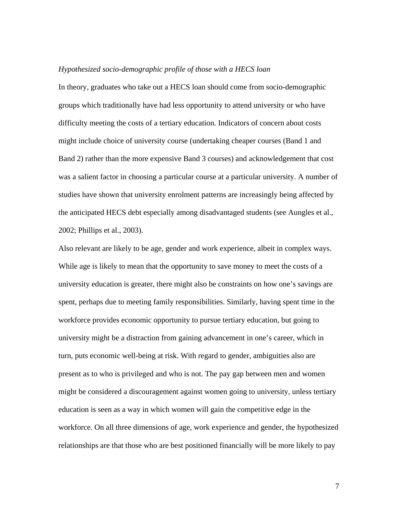#### *Hypothesized socio-demographic profile of those with a HECS loan*

In theory, graduates who take out a HECS loan should come from socio-demographic groups which traditionally have had less opportunity to attend university or who have difficulty meeting the costs of a tertiary education. Indicators of concern about costs might include choice of university course (undertaking cheaper courses (Band 1 and Band 2) rather than the more expensive Band 3 courses) and acknowledgement that cost was a salient factor in choosing a particular course at a particular university. A number of studies have shown that university enrolment patterns are increasingly being affected by the anticipated HECS debt especially among disadvantaged students (see Aungles et al., 2002; Phillips et al., 2003).

Also relevant are likely to be age, gender and work experience, albeit in complex ways. While age is likely to mean that the opportunity to save money to meet the costs of a university education is greater, there might also be constraints on how one's savings are spent, perhaps due to meeting family responsibilities. Similarly, having spent time in the workforce provides economic opportunity to pursue tertiary education, but going to university might be a distraction from gaining advancement in one's career, which in turn, puts economic well-being at risk. With regard to gender, ambiguities also are present as to who is privileged and who is not. The pay gap between men and women might be considered a discouragement against women going to university, unless tertiary education is seen as a way in which women will gain the competitive edge in the workforce. On all three dimensions of age, work experience and gender, the hypothesized relationships are that those who are best positioned financially will be more likely to pay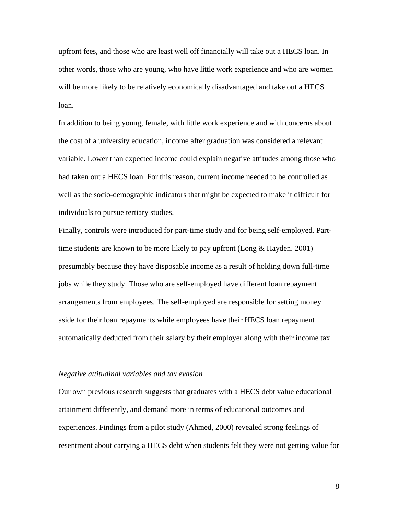upfront fees, and those who are least well off financially will take out a HECS loan. In other words, those who are young, who have little work experience and who are women will be more likely to be relatively economically disadvantaged and take out a HECS loan.

In addition to being young, female, with little work experience and with concerns about the cost of a university education, income after graduation was considered a relevant variable. Lower than expected income could explain negative attitudes among those who had taken out a HECS loan. For this reason, current income needed to be controlled as well as the socio-demographic indicators that might be expected to make it difficult for individuals to pursue tertiary studies.

Finally, controls were introduced for part-time study and for being self-employed. Parttime students are known to be more likely to pay upfront (Long & Hayden, 2001) presumably because they have disposable income as a result of holding down full-time jobs while they study. Those who are self-employed have different loan repayment arrangements from employees. The self-employed are responsible for setting money aside for their loan repayments while employees have their HECS loan repayment automatically deducted from their salary by their employer along with their income tax.

#### *Negative attitudinal variables and tax evasion*

Our own previous research suggests that graduates with a HECS debt value educational attainment differently, and demand more in terms of educational outcomes and experiences. Findings from a pilot study (Ahmed, 2000) revealed strong feelings of resentment about carrying a HECS debt when students felt they were not getting value for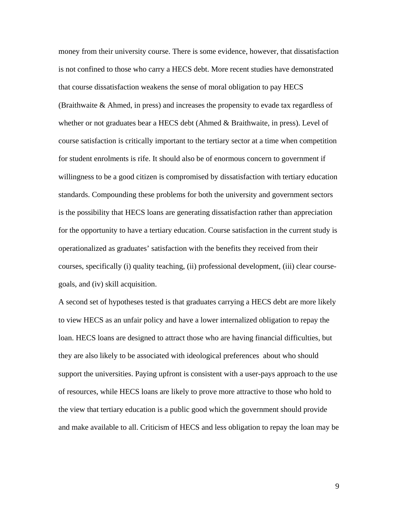money from their university course. There is some evidence, however, that dissatisfaction is not confined to those who carry a HECS debt. More recent studies have demonstrated that course dissatisfaction weakens the sense of moral obligation to pay HECS (Braithwaite & Ahmed, in press) and increases the propensity to evade tax regardless of whether or not graduates bear a HECS debt (Ahmed & Braithwaite, in press). Level of course satisfaction is critically important to the tertiary sector at a time when competition for student enrolments is rife. It should also be of enormous concern to government if willingness to be a good citizen is compromised by dissatisfaction with tertiary education standards. Compounding these problems for both the university and government sectors is the possibility that HECS loans are generating dissatisfaction rather than appreciation for the opportunity to have a tertiary education. Course satisfaction in the current study is operationalized as graduates' satisfaction with the benefits they received from their courses, specifically (i) quality teaching, (ii) professional development, (iii) clear coursegoals, and (iv) skill acquisition.

A second set of hypotheses tested is that graduates carrying a HECS debt are more likely to view HECS as an unfair policy and have a lower internalized obligation to repay the loan. HECS loans are designed to attract those who are having financial difficulties, but they are also likely to be associated with ideological preferences about who should support the universities. Paying upfront is consistent with a user-pays approach to the use of resources, while HECS loans are likely to prove more attractive to those who hold to the view that tertiary education is a public good which the government should provide and make available to all. Criticism of HECS and less obligation to repay the loan may be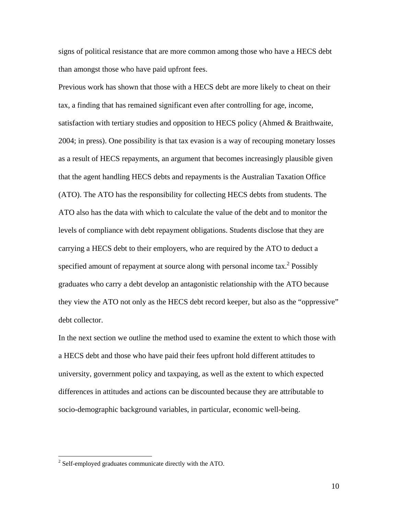signs of political resistance that are more common among those who have a HECS debt than amongst those who have paid upfront fees.

Previous work has shown that those with a HECS debt are more likely to cheat on their tax, a finding that has remained significant even after controlling for age, income, satisfaction with tertiary studies and opposition to HECS policy (Ahmed & Braithwaite, 2004; in press). One possibility is that tax evasion is a way of recouping monetary losses as a result of HECS repayments, an argument that becomes increasingly plausible given that the agent handling HECS debts and repayments is the Australian Taxation Office (ATO). The ATO has the responsibility for collecting HECS debts from students. The ATO also has the data with which to calculate the value of the debt and to monitor the levels of compliance with debt repayment obligations. Students disclose that they are carrying a HECS debt to their employers, who are required by the ATO to deduct a specified amount of repayment at source along with personal income tax.<sup>2</sup> Possibly graduates who carry a debt develop an antagonistic relationship with the ATO because they view the ATO not only as the HECS debt record keeper, but also as the "oppressive" debt collector.

In the next section we outline the method used to examine the extent to which those with a HECS debt and those who have paid their fees upfront hold different attitudes to university, government policy and taxpaying, as well as the extent to which expected differences in attitudes and actions can be discounted because they are attributable to socio-demographic background variables, in particular, economic well-being.

 $\overline{a}$ 

 $2^2$  Self-employed graduates communicate directly with the ATO.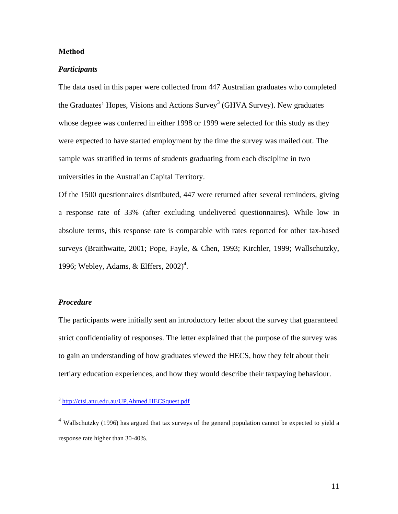#### **Method**

#### *Participants*

The data used in this paper were collected from 447 Australian graduates who completed the Graduates' Hopes, Visions and Actions Survey<sup>3</sup> (GHVA Survey). New graduates whose degree was conferred in either 1998 or 1999 were selected for this study as they were expected to have started employment by the time the survey was mailed out. The sample was stratified in terms of students graduating from each discipline in two universities in the Australian Capital Territory.

Of the 1500 questionnaires distributed, 447 were returned after several reminders, giving a response rate of 33% (after excluding undelivered questionnaires). While low in absolute terms, this response rate is comparable with rates reported for other tax-based surveys (Braithwaite, 2001; Pope, Fayle, & Chen, 1993; Kirchler, 1999; Wallschutzky, 1996; Webley, Adams, & Elffers,  $2002)^4$ .

#### *Procedure*

 $\overline{a}$ 

The participants were initially sent an introductory letter about the survey that guaranteed strict confidentiality of responses. The letter explained that the purpose of the survey was to gain an understanding of how graduates viewed the HECS, how they felt about their tertiary education experiences, and how they would describe their taxpaying behaviour.

<sup>3</sup> http://ctsi.anu.edu.au/UP.Ahmed.HECSquest.pdf

<sup>&</sup>lt;sup>4</sup> Wallschutzky (1996) has argued that tax surveys of the general population cannot be expected to yield a response rate higher than 30-40%.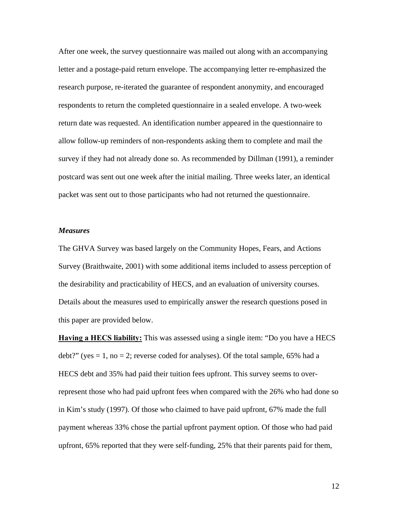After one week, the survey questionnaire was mailed out along with an accompanying letter and a postage-paid return envelope. The accompanying letter re-emphasized the research purpose, re-iterated the guarantee of respondent anonymity, and encouraged respondents to return the completed questionnaire in a sealed envelope. A two-week return date was requested. An identification number appeared in the questionnaire to allow follow-up reminders of non-respondents asking them to complete and mail the survey if they had not already done so. As recommended by Dillman (1991), a reminder postcard was sent out one week after the initial mailing. Three weeks later, an identical packet was sent out to those participants who had not returned the questionnaire.

#### *Measures*

The GHVA Survey was based largely on the Community Hopes, Fears, and Actions Survey (Braithwaite, 2001) with some additional items included to assess perception of the desirability and practicability of HECS, and an evaluation of university courses. Details about the measures used to empirically answer the research questions posed in this paper are provided below.

**Having a HECS liability:** This was assessed using a single item: "Do you have a HECS debt?" (yes  $= 1$ , no  $= 2$ ; reverse coded for analyses). Of the total sample, 65% had a HECS debt and 35% had paid their tuition fees upfront. This survey seems to overrepresent those who had paid upfront fees when compared with the 26% who had done so in Kim's study (1997). Of those who claimed to have paid upfront, 67% made the full payment whereas 33% chose the partial upfront payment option. Of those who had paid upfront, 65% reported that they were self-funding, 25% that their parents paid for them,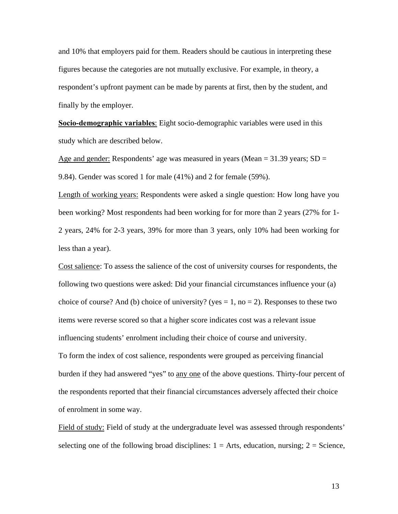and 10% that employers paid for them. Readers should be cautious in interpreting these figures because the categories are not mutually exclusive. For example, in theory, a respondent's upfront payment can be made by parents at first, then by the student, and finally by the employer.

**Socio-demographic variables**: Eight socio-demographic variables were used in this study which are described below.

Age and gender: Respondents' age was measured in years (Mean  $= 31.39$  years; SD  $=$ 9.84). Gender was scored 1 for male (41%) and 2 for female (59%).

Length of working years: Respondents were asked a single question: How long have you been working? Most respondents had been working for for more than 2 years (27% for 1- 2 years, 24% for 2-3 years, 39% for more than 3 years, only 10% had been working for less than a year).

Cost salience: To assess the salience of the cost of university courses for respondents, the following two questions were asked: Did your financial circumstances influence your (a) choice of course? And (b) choice of university? (yes = 1, no = 2). Responses to these two items were reverse scored so that a higher score indicates cost was a relevant issue influencing students' enrolment including their choice of course and university. To form the index of cost salience, respondents were grouped as perceiving financial burden if they had answered "yes" to <u>any one</u> of the above questions. Thirty-four percent of the respondents reported that their financial circumstances adversely affected their choice of enrolment in some way.

Field of study: Field of study at the undergraduate level was assessed through respondents' selecting one of the following broad disciplines:  $1 =$  Arts, education, nursing;  $2 =$  Science,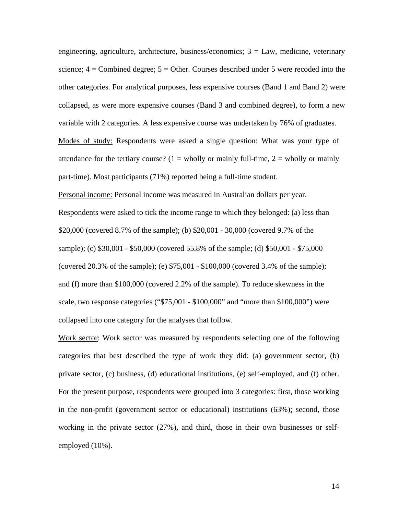engineering, agriculture, architecture, business/economics;  $3 = Law$ , medicine, veterinary science;  $4 =$ Combined degree;  $5 =$ Other. Courses described under 5 were recoded into the other categories. For analytical purposes, less expensive courses (Band 1 and Band 2) were collapsed, as were more expensive courses (Band 3 and combined degree), to form a new variable with 2 categories. A less expensive course was undertaken by 76% of graduates. Modes of study: Respondents were asked a single question: What was your type of attendance for the tertiary course?  $(1 =$  wholly or mainly full-time,  $2 =$  wholly or mainly part-time). Most participants (71%) reported being a full-time student.

Personal income: Personal income was measured in Australian dollars per year. Respondents were asked to tick the income range to which they belonged: (a) less than \$20,000 (covered 8.7% of the sample); (b) \$20,001 - 30,000 (covered 9.7% of the sample); (c) \$30,001 - \$50,000 (covered 55.8% of the sample; (d) \$50,001 - \$75,000 (covered 20.3% of the sample); (e) \$75,001 - \$100,000 (covered 3.4% of the sample); and (f) more than \$100,000 (covered 2.2% of the sample). To reduce skewness in the scale, two response categories ("\$75,001 - \$100,000" and "more than \$100,000") were collapsed into one category for the analyses that follow.

Work sector: Work sector was measured by respondents selecting one of the following categories that best described the type of work they did: (a) government sector, (b) private sector, (c) business, (d) educational institutions, (e) self-employed, and (f) other. For the present purpose, respondents were grouped into 3 categories: first, those working in the non-profit (government sector or educational) institutions (63%); second, those working in the private sector (27%), and third, those in their own businesses or selfemployed (10%).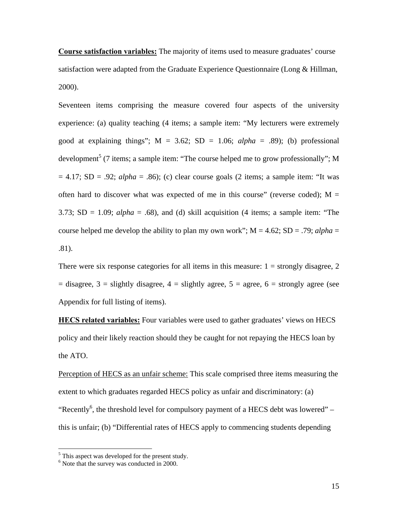**Course satisfaction variables:** The majority of items used to measure graduates' course satisfaction were adapted from the Graduate Experience Questionnaire (Long  $\&$  Hillman, 2000).

Seventeen items comprising the measure covered four aspects of the university experience: (a) quality teaching (4 items; a sample item: "My lecturers were extremely good at explaining things";  $M = 3.62$ ;  $SD = 1.06$ ;  $alpha = .89$ ; (b) professional development<sup>5</sup> (7 items; a sample item: "The course helped me to grow professionally"; M  $= 4.17$ ; SD  $= .92$ ; *alpha*  $= .86$ ); (c) clear course goals (2 items; a sample item: "It was often hard to discover what was expected of me in this course" (reverse coded);  $M =$ 3.73;  $SD = 1.09$ ;  $alpha = .68$ ), and (d) skill acquisition (4 items; a sample item: "The course helped me develop the ability to plan my own work";  $M = 4.62$ ;  $SD = .79$ ; *alpha* = .81).

There were six response categories for all items in this measure:  $1 =$  strongly disagree, 2  $=$  disagree, 3 = slightly disagree, 4 = slightly agree, 5 = agree, 6 = strongly agree (see Appendix for full listing of items).

**HECS related variables:** Four variables were used to gather graduates' views on HECS policy and their likely reaction should they be caught for not repaying the HECS loan by the ATO.

Perception of HECS as an unfair scheme: This scale comprised three items measuring the extent to which graduates regarded HECS policy as unfair and discriminatory: (a) "Recently<sup>6</sup>, the threshold level for compulsory payment of a HECS debt was lowered"  $$ this is unfair; (b) "Differential rates of HECS apply to commencing students depending

 $\overline{a}$ 

<sup>&</sup>lt;sup>5</sup> This aspect was developed for the present study.

<sup>&</sup>lt;sup>6</sup> Note that the survey was conducted in 2000.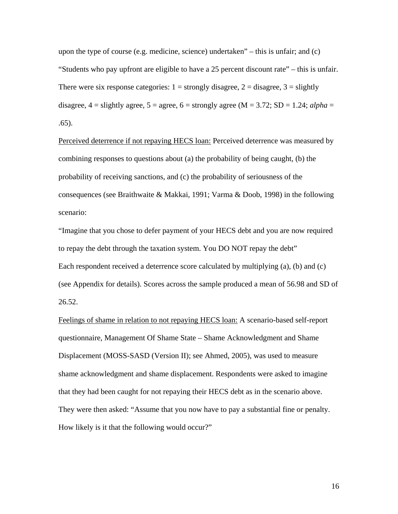upon the type of course (e.g. medicine, science) undertaken" – this is unfair; and (c) "Students who pay upfront are eligible to have a 25 percent discount rate" – this is unfair. There were six response categories:  $1 =$  strongly disagree,  $2 =$  disagree,  $3 =$  slightly disagree,  $4 =$  slightly agree,  $5 =$  agree,  $6 =$  strongly agree (M = 3.72; SD = 1.24; *alpha* = .65).

Perceived deterrence if not repaying HECS loan: Perceived deterrence was measured by combining responses to questions about (a) the probability of being caught, (b) the probability of receiving sanctions, and (c) the probability of seriousness of the consequences (see Braithwaite & Makkai, 1991; Varma & Doob, 1998) in the following scenario:

"Imagine that you chose to defer payment of your HECS debt and you are now required to repay the debt through the taxation system. You DO NOT repay the debt" Each respondent received a deterrence score calculated by multiplying (a), (b) and (c) (see Appendix for details). Scores across the sample produced a mean of 56.98 and SD of 26.52.

Feelings of shame in relation to not repaying HECS loan: A scenario-based self-report questionnaire, Management Of Shame State – Shame Acknowledgment and Shame Displacement (MOSS-SASD (Version II); see Ahmed, 2005), was used to measure shame acknowledgment and shame displacement. Respondents were asked to imagine that they had been caught for not repaying their HECS debt as in the scenario above. They were then asked: "Assume that you now have to pay a substantial fine or penalty. How likely is it that the following would occur?"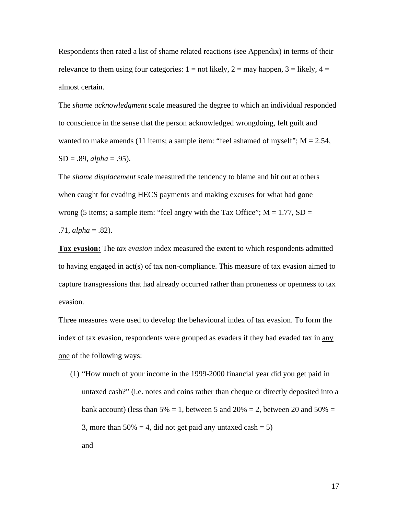Respondents then rated a list of shame related reactions (see Appendix) in terms of their relevance to them using four categories:  $1 =$  not likely,  $2 =$  may happen,  $3 =$  likely,  $4 =$ almost certain.

The *shame acknowledgment* scale measured the degree to which an individual responded to conscience in the sense that the person acknowledged wrongdoing, felt guilt and wanted to make amends (11 items; a sample item: "feel ashamed of myself";  $M = 2.54$ ,  $SD = .89$ , *alpha* = .95).

The *shame displacement* scale measured the tendency to blame and hit out at others when caught for evading HECS payments and making excuses for what had gone wrong (5 items; a sample item: "feel angry with the Tax Office";  $M = 1.77$ ,  $SD =$ .71, *alpha* = .82).

**Tax evasion:** The *tax evasion* index measured the extent to which respondents admitted to having engaged in act(s) of tax non-compliance. This measure of tax evasion aimed to capture transgressions that had already occurred rather than proneness or openness to tax evasion.

Three measures were used to develop the behavioural index of tax evasion. To form the index of tax evasion, respondents were grouped as evaders if they had evaded tax in any one of the following ways:

(1) "How much of your income in the 1999-2000 financial year did you get paid in untaxed cash?" (i.e. notes and coins rather than cheque or directly deposited into a bank account) (less than 5% = 1, between 5 and 20% = 2, between 20 and 50% = 3, more than  $50\% = 4$ , did not get paid any untaxed cash = 5)

and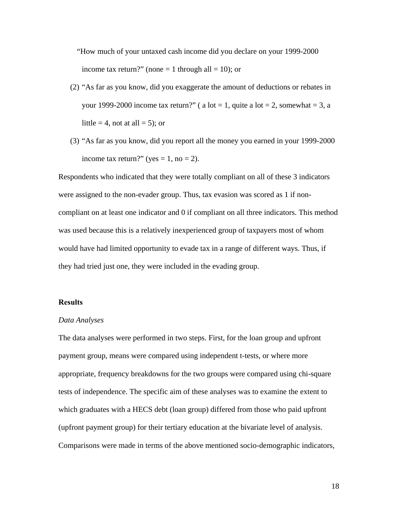"How much of your untaxed cash income did you declare on your 1999-2000 income tax return?" (none = 1 through all = 10); or

- (2) "As far as you know, did you exaggerate the amount of deductions or rebates in your 1999-2000 income tax return?" (a lot = 1, quite a lot = 2, somewhat = 3, a little = 4, not at all = 5); or
- (3) "As far as you know, did you report all the money you earned in your 1999-2000 income tax return?" (yes = 1, no = 2).

Respondents who indicated that they were totally compliant on all of these 3 indicators were assigned to the non-evader group. Thus, tax evasion was scored as 1 if noncompliant on at least one indicator and 0 if compliant on all three indicators. This method was used because this is a relatively inexperienced group of taxpayers most of whom would have had limited opportunity to evade tax in a range of different ways. Thus, if they had tried just one, they were included in the evading group.

#### **Results**

#### *Data Analyses*

The data analyses were performed in two steps. First, for the loan group and upfront payment group, means were compared using independent t-tests, or where more appropriate, frequency breakdowns for the two groups were compared using chi-square tests of independence. The specific aim of these analyses was to examine the extent to which graduates with a HECS debt (loan group) differed from those who paid upfront (upfront payment group) for their tertiary education at the bivariate level of analysis. Comparisons were made in terms of the above mentioned socio-demographic indicators,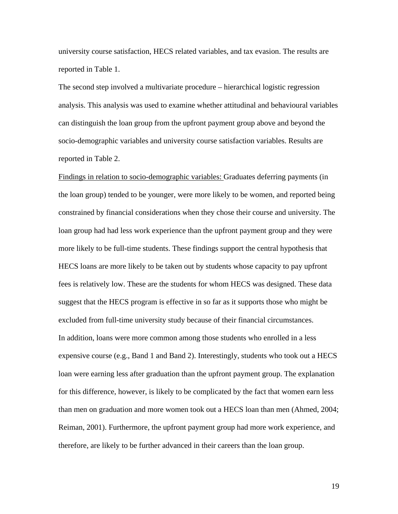university course satisfaction, HECS related variables, and tax evasion. The results are reported in Table 1.

The second step involved a multivariate procedure – hierarchical logistic regression analysis. This analysis was used to examine whether attitudinal and behavioural variables can distinguish the loan group from the upfront payment group above and beyond the socio-demographic variables and university course satisfaction variables. Results are reported in Table 2.

Findings in relation to socio-demographic variables: Graduates deferring payments (in the loan group) tended to be younger, were more likely to be women, and reported being constrained by financial considerations when they chose their course and university. The loan group had had less work experience than the upfront payment group and they were more likely to be full-time students. These findings support the central hypothesis that HECS loans are more likely to be taken out by students whose capacity to pay upfront fees is relatively low. These are the students for whom HECS was designed. These data suggest that the HECS program is effective in so far as it supports those who might be excluded from full-time university study because of their financial circumstances. In addition, loans were more common among those students who enrolled in a less expensive course (e.g., Band 1 and Band 2). Interestingly, students who took out a HECS loan were earning less after graduation than the upfront payment group. The explanation for this difference, however, is likely to be complicated by the fact that women earn less than men on graduation and more women took out a HECS loan than men (Ahmed, 2004; Reiman, 2001). Furthermore, the upfront payment group had more work experience, and therefore, are likely to be further advanced in their careers than the loan group.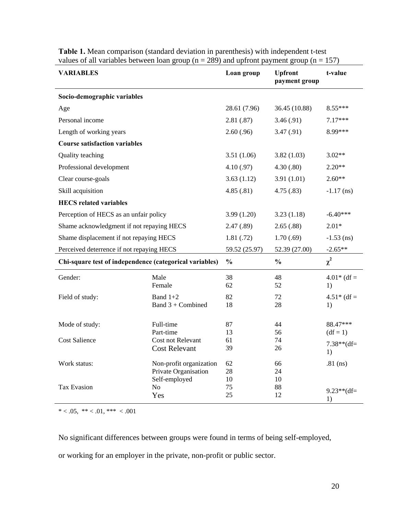| <b>VARIABLES</b>                                        |                                                                  | Loan group     | <b>Upfront</b><br>payment group | t-value                |
|---------------------------------------------------------|------------------------------------------------------------------|----------------|---------------------------------|------------------------|
| Socio-demographic variables                             |                                                                  |                |                                 |                        |
| Age                                                     |                                                                  | 28.61 (7.96)   | 36.45 (10.88)                   | $8.55***$              |
| Personal income                                         |                                                                  | 2.81(.87)      | 3.46(.91)                       | 7.17***                |
| Length of working years                                 |                                                                  | 2.60(.96)      | 3.47(0.91)                      | 8.99***                |
| <b>Course satisfaction variables</b>                    |                                                                  |                |                                 |                        |
| Quality teaching                                        |                                                                  | 3.51(1.06)     | 3.82(1.03)                      | $3.02**$               |
| Professional development                                |                                                                  | 4.10(0.97)     | 4.30(.80)                       | $2.20**$               |
| Clear course-goals                                      |                                                                  | 3.63(1.12)     | 3.91(1.01)                      | $2.60**$               |
| Skill acquisition                                       |                                                                  | 4.85(.81)      | 4.75(.83)                       | $-1.17$ (ns)           |
| <b>HECS</b> related variables                           |                                                                  |                |                                 |                        |
| Perception of HECS as an unfair policy                  |                                                                  | 3.99(1.20)     | 3.23(1.18)                      | $-6.40***$             |
| Shame acknowledgment if not repaying HECS               |                                                                  | 2.47(.89)      | 2.65(.88)                       | $2.01*$                |
| Shame displacement if not repaying HECS                 |                                                                  | 1.81(.72)      | 1.70(.69)                       | $-1.53$ (ns)           |
| Perceived deterrence if not repaying HECS               |                                                                  | 59.52 (25.97)  | 52.39 (27.00)                   | $-2.65**$              |
| Chi-square test of independence (categorical variables) |                                                                  | $\frac{0}{0}$  | $\frac{0}{0}$                   | $\chi^2$               |
| Gender:                                                 | Male<br>Female                                                   | 38<br>62       | 48<br>52                        | $4.01*$ (df =<br>1)    |
| Field of study:                                         | Band $1+2$<br>Band $3 +$ Combined                                | 82<br>18       | 72<br>28                        | $4.51*$ (df =<br>1)    |
| Mode of study:                                          | Full-time<br>Part-time                                           | 87<br>13       | 44<br>56                        | 88.47***<br>$(df = 1)$ |
| <b>Cost Salience</b>                                    | Cost not Relevant<br><b>Cost Relevant</b>                        | 61<br>39       | 74<br>26                        | $7.38**$ (df=<br>1)    |
| Work status:                                            | Non-profit organization<br>Private Organisation<br>Self-employed | 62<br>28<br>10 | 66<br>24<br>10                  | $.81$ (ns)             |
| <b>Tax Evasion</b>                                      | N <sub>o</sub><br>Yes                                            | 75<br>25       | 88<br>12                        | $9.23**$ (df=<br>1)    |

**Table 1.** Mean comparison (standard deviation in parenthesis) with independent t-test values of all variables between loan group ( $n = 289$ ) and upfront payment group ( $n = 157$ )

\*  $< .05,$  \*\*  $< .01,$  \*\*\*  $< .001$ 

No significant differences between groups were found in terms of being self-employed,

or working for an employer in the private, non-profit or public sector.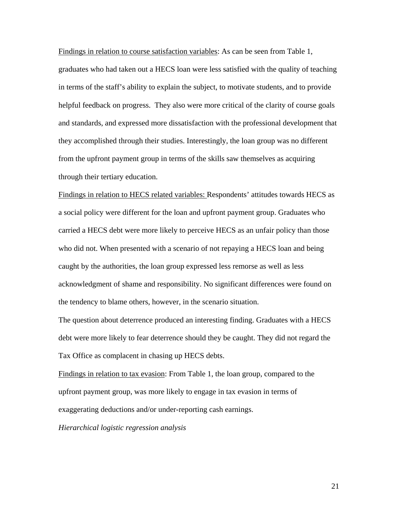Findings in relation to course satisfaction variables: As can be seen from Table 1, graduates who had taken out a HECS loan were less satisfied with the quality of teaching in terms of the staff's ability to explain the subject, to motivate students, and to provide helpful feedback on progress. They also were more critical of the clarity of course goals and standards, and expressed more dissatisfaction with the professional development that they accomplished through their studies. Interestingly, the loan group was no different from the upfront payment group in terms of the skills saw themselves as acquiring through their tertiary education.

Findings in relation to HECS related variables: Respondents' attitudes towards HECS as a social policy were different for the loan and upfront payment group. Graduates who carried a HECS debt were more likely to perceive HECS as an unfair policy than those who did not. When presented with a scenario of not repaying a HECS loan and being caught by the authorities, the loan group expressed less remorse as well as less acknowledgment of shame and responsibility. No significant differences were found on the tendency to blame others, however, in the scenario situation.

The question about deterrence produced an interesting finding. Graduates with a HECS debt were more likely to fear deterrence should they be caught. They did not regard the Tax Office as complacent in chasing up HECS debts.

Findings in relation to tax evasion: From Table 1, the loan group, compared to the upfront payment group, was more likely to engage in tax evasion in terms of exaggerating deductions and/or under-reporting cash earnings.

*Hierarchical logistic regression analysis*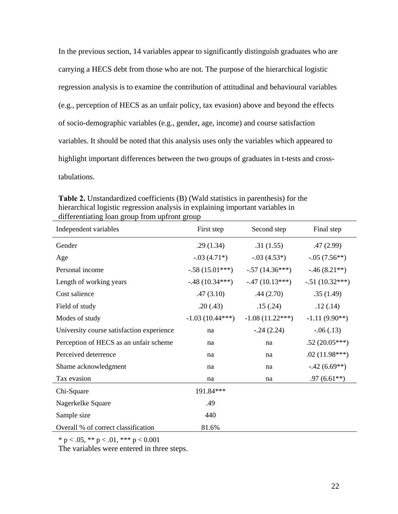In the previous section, 14 variables appear to significantly distinguish graduates who are carrying a HECS debt from those who are not. The purpose of the hierarchical logistic regression analysis is to examine the contribution of attitudinal and behavioural variables (e.g., perception of HECS as an unfair policy, tax evasion) above and beyond the effects of socio-demographic variables (e.g., gender, age, income) and course satisfaction variables. It should be noted that this analysis uses only the variables which appeared to highlight important differences between the two groups of graduates in t-tests and crosstabulations.

Independent variables First step Second step Final step Gender .29 (1.34) .31 (1.55) .47 (2.99) Age  $-03(4.71^*)$   $-03(4.53^*)$   $-05(7.56^{**})$ Personal income  $-0.58(15.01***) -0.57(14.36***) -0.46(8.21**)$ Length of working years -.48 (10.34\*\*\*) -.47 (10.13\*\*\*) -.51 (10.32\*\*\*) Cost salience .47 (3.10) .44 (2.70) .35 (1.49) Field of study .20 (.43) .15 (.24) .12 (.14) Modes of study  $-1.03 (10.44***) -1.08 (11.22***) -1.11 (9.90**)$ University course satisfaction experience  $na$   $-0.24$  (2.24)  $-0.06$  (.13) Perception of HECS as an unfair scheme na na na .52 (20.05<sup>\*\*\*</sup>) Perceived deterrence has na ma .02 (11.98\*\*\*) Shame acknowledgment na na na -.42 (6.69<sup>\*\*</sup>) Tax evasion has na na na  $.97 (6.61**)$ Chi-Square 191.84\*\*\* Nagerkelke Square .49 Sample size 440 Overall % of correct classification 81.6%

**Table 2.** Unstandardized coefficients (B) (Wald statistics in parenthesis) for the hierarchical logistic regression analysis in explaining important variables in differentiating loan group from upfront group

\* p < .05, \*\* p < .01, \*\*\* p < 0.001

The variables were entered in three steps.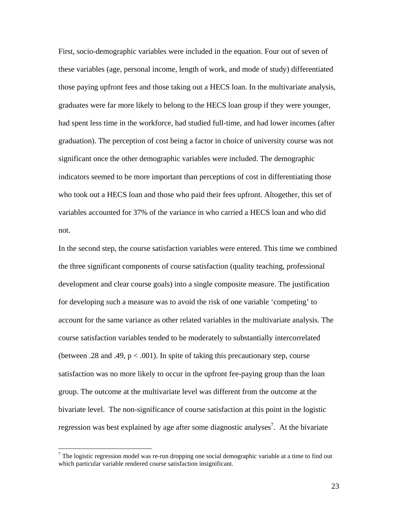First, socio-demographic variables were included in the equation. Four out of seven of these variables (age, personal income, length of work, and mode of study) differentiated those paying upfront fees and those taking out a HECS loan. In the multivariate analysis, graduates were far more likely to belong to the HECS loan group if they were younger, had spent less time in the workforce, had studied full-time, and had lower incomes (after graduation). The perception of cost being a factor in choice of university course was not significant once the other demographic variables were included. The demographic indicators seemed to be more important than perceptions of cost in differentiating those who took out a HECS loan and those who paid their fees upfront. Altogether, this set of variables accounted for 37% of the variance in who carried a HECS loan and who did not.

In the second step, the course satisfaction variables were entered. This time we combined the three significant components of course satisfaction (quality teaching, professional development and clear course goals) into a single composite measure. The justification for developing such a measure was to avoid the risk of one variable 'competing' to account for the same variance as other related variables in the multivariate analysis. The course satisfaction variables tended to be moderately to substantially intercorrelated (between .28 and .49,  $p < .001$ ). In spite of taking this precautionary step, course satisfaction was no more likely to occur in the upfront fee-paying group than the loan group. The outcome at the multivariate level was different from the outcome at the bivariate level. The non-significance of course satisfaction at this point in the logistic regression was best explained by age after some diagnostic analyses<sup>7</sup>. At the bivariate

 $\overline{a}$ 

 $7$  The logistic regression model was re-run dropping one social demographic variable at a time to find out which particular variable rendered course satisfaction insignificant.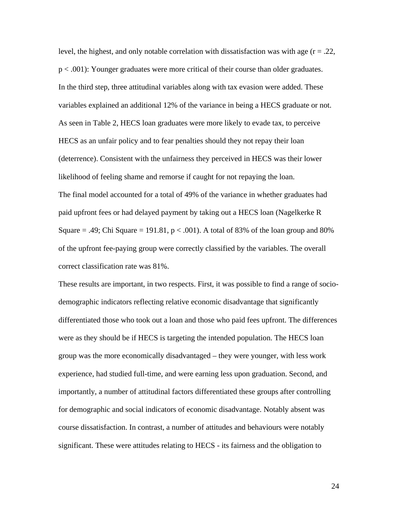level, the highest, and only notable correlation with dissatisfaction was with age  $(r = .22)$ , p < .001): Younger graduates were more critical of their course than older graduates. In the third step, three attitudinal variables along with tax evasion were added. These variables explained an additional 12% of the variance in being a HECS graduate or not. As seen in Table 2, HECS loan graduates were more likely to evade tax, to perceive HECS as an unfair policy and to fear penalties should they not repay their loan (deterrence). Consistent with the unfairness they perceived in HECS was their lower likelihood of feeling shame and remorse if caught for not repaying the loan. The final model accounted for a total of 49% of the variance in whether graduates had paid upfront fees or had delayed payment by taking out a HECS loan (Nagelkerke R Square = .49; Chi Square = 191.81,  $p < .001$ ). A total of 83% of the loan group and 80% of the upfront fee-paying group were correctly classified by the variables. The overall correct classification rate was 81%.

These results are important, in two respects. First, it was possible to find a range of sociodemographic indicators reflecting relative economic disadvantage that significantly differentiated those who took out a loan and those who paid fees upfront. The differences were as they should be if HECS is targeting the intended population. The HECS loan group was the more economically disadvantaged – they were younger, with less work experience, had studied full-time, and were earning less upon graduation. Second, and importantly, a number of attitudinal factors differentiated these groups after controlling for demographic and social indicators of economic disadvantage. Notably absent was course dissatisfaction. In contrast, a number of attitudes and behaviours were notably significant. These were attitudes relating to HECS - its fairness and the obligation to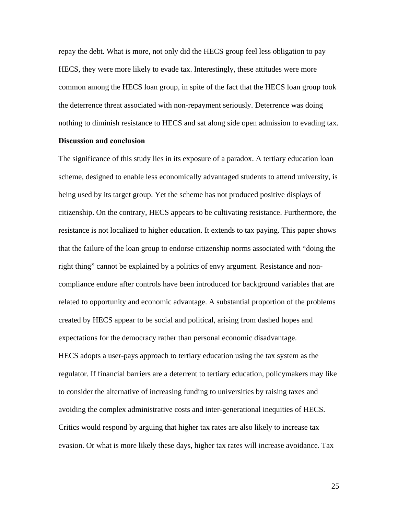repay the debt. What is more, not only did the HECS group feel less obligation to pay HECS, they were more likely to evade tax. Interestingly, these attitudes were more common among the HECS loan group, in spite of the fact that the HECS loan group took the deterrence threat associated with non-repayment seriously. Deterrence was doing nothing to diminish resistance to HECS and sat along side open admission to evading tax.

#### **Discussion and conclusion**

The significance of this study lies in its exposure of a paradox. A tertiary education loan scheme, designed to enable less economically advantaged students to attend university, is being used by its target group. Yet the scheme has not produced positive displays of citizenship. On the contrary, HECS appears to be cultivating resistance. Furthermore, the resistance is not localized to higher education. It extends to tax paying. This paper shows that the failure of the loan group to endorse citizenship norms associated with "doing the right thing" cannot be explained by a politics of envy argument. Resistance and noncompliance endure after controls have been introduced for background variables that are related to opportunity and economic advantage. A substantial proportion of the problems created by HECS appear to be social and political, arising from dashed hopes and expectations for the democracy rather than personal economic disadvantage. HECS adopts a user-pays approach to tertiary education using the tax system as the regulator. If financial barriers are a deterrent to tertiary education, policymakers may like to consider the alternative of increasing funding to universities by raising taxes and avoiding the complex administrative costs and inter-generational inequities of HECS. Critics would respond by arguing that higher tax rates are also likely to increase tax evasion. Or what is more likely these days, higher tax rates will increase avoidance. Tax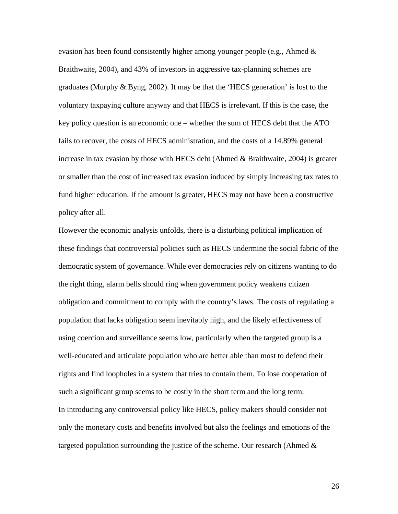evasion has been found consistently higher among younger people (e.g., Ahmed & Braithwaite, 2004), and 43% of investors in aggressive tax-planning schemes are graduates (Murphy & Byng, 2002). It may be that the 'HECS generation' is lost to the voluntary taxpaying culture anyway and that HECS is irrelevant. If this is the case, the key policy question is an economic one – whether the sum of HECS debt that the ATO fails to recover, the costs of HECS administration, and the costs of a 14.89% general increase in tax evasion by those with HECS debt (Ahmed & Braithwaite, 2004) is greater or smaller than the cost of increased tax evasion induced by simply increasing tax rates to fund higher education. If the amount is greater, HECS may not have been a constructive policy after all.

However the economic analysis unfolds, there is a disturbing political implication of these findings that controversial policies such as HECS undermine the social fabric of the democratic system of governance. While ever democracies rely on citizens wanting to do the right thing, alarm bells should ring when government policy weakens citizen obligation and commitment to comply with the country's laws. The costs of regulating a population that lacks obligation seem inevitably high, and the likely effectiveness of using coercion and surveillance seems low, particularly when the targeted group is a well-educated and articulate population who are better able than most to defend their rights and find loopholes in a system that tries to contain them. To lose cooperation of such a significant group seems to be costly in the short term and the long term. In introducing any controversial policy like HECS, policy makers should consider not only the monetary costs and benefits involved but also the feelings and emotions of the targeted population surrounding the justice of the scheme. Our research (Ahmed  $\&$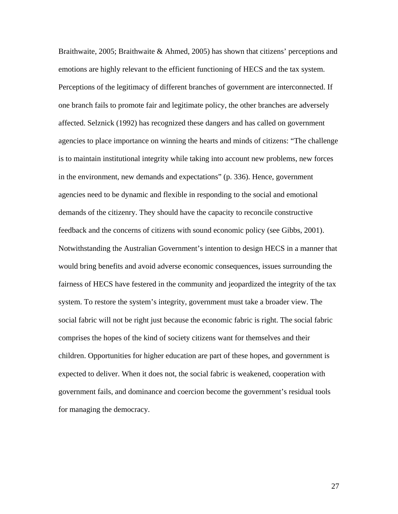Braithwaite, 2005; Braithwaite & Ahmed, 2005) has shown that citizens' perceptions and emotions are highly relevant to the efficient functioning of HECS and the tax system. Perceptions of the legitimacy of different branches of government are interconnected. If one branch fails to promote fair and legitimate policy, the other branches are adversely affected. Selznick (1992) has recognized these dangers and has called on government agencies to place importance on winning the hearts and minds of citizens: "The challenge is to maintain institutional integrity while taking into account new problems, new forces in the environment, new demands and expectations" (p. 336). Hence, government agencies need to be dynamic and flexible in responding to the social and emotional demands of the citizenry. They should have the capacity to reconcile constructive feedback and the concerns of citizens with sound economic policy (see Gibbs, 2001). Notwithstanding the Australian Government's intention to design HECS in a manner that would bring benefits and avoid adverse economic consequences, issues surrounding the fairness of HECS have festered in the community and jeopardized the integrity of the tax system. To restore the system's integrity, government must take a broader view. The social fabric will not be right just because the economic fabric is right. The social fabric comprises the hopes of the kind of society citizens want for themselves and their children. Opportunities for higher education are part of these hopes, and government is expected to deliver. When it does not, the social fabric is weakened, cooperation with government fails, and dominance and coercion become the government's residual tools for managing the democracy.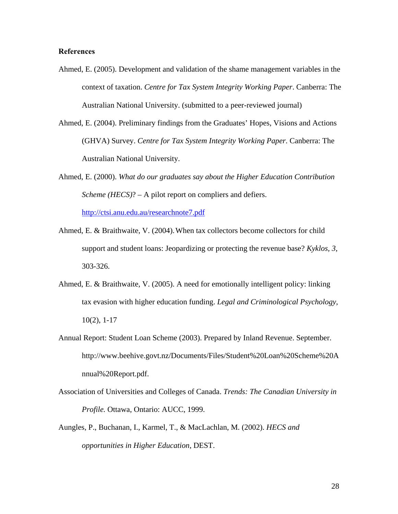#### **References**

- Ahmed, E. (2005). Development and validation of the shame management variables in the context of taxation. *Centre for Tax System Integrity Working Paper*. Canberra: The Australian National University. (submitted to a peer-reviewed journal)
- Ahmed, E. (2004). Preliminary findings from the Graduates' Hopes, Visions and Actions (GHVA) Survey. *Centre for Tax System Integrity Working Paper*. Canberra: The Australian National University.
- Ahmed, E. (2000). *What do our graduates say about the Higher Education Contribution Scheme (HECS)*? – A pilot report on compliers and defiers.

http://ctsi.anu.edu.au/researchnote7.pdf

- Ahmed, E. & Braithwaite, V. (2004). When tax collectors become collectors for child support and student loans: Jeopardizing or protecting the revenue base? *Kyklos, 3*, 303-326.
- Ahmed, E. & Braithwaite, V. (2005). A need for emotionally intelligent policy: linking tax evasion with higher education funding. *Legal and Criminological Psychology*, 10(2), 1-17
- Annual Report: Student Loan Scheme (2003). Prepared by Inland Revenue. September. http://www.beehive.govt.nz/Documents/Files/Student%20Loan%20Scheme%20A nnual%20Report.pdf.
- Association of Universities and Colleges of Canada. *Trends: The Canadian University in Profile.* Ottawa, Ontario: AUCC, 1999.
- Aungles, P., Buchanan, I., Karmel, T., & MacLachlan, M. (2002). *HECS and opportunities in Higher Education*, DEST.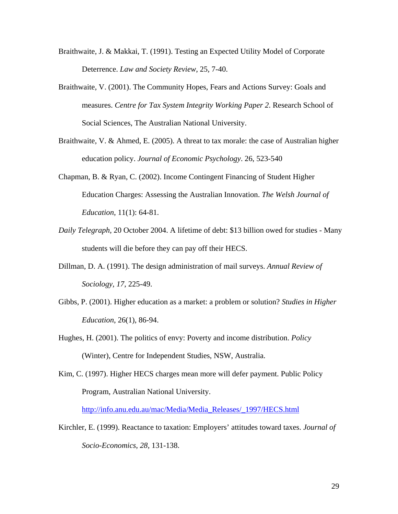- Braithwaite, J. & Makkai, T. (1991). Testing an Expected Utility Model of Corporate Deterrence. *Law and Society Review*, 25*,* 7-40.
- Braithwaite, V. (2001). The Community Hopes, Fears and Actions Survey: Goals and measures. *Centre for Tax System Integrity Working Paper 2*. Research School of Social Sciences, The Australian National University.
- Braithwaite, V. & Ahmed, E. (2005). A threat to tax morale: the case of Australian higher education policy. *Journal of Economic Psychology*. 26, 523-540
- Chapman, B. & Ryan, C. (2002). Income Contingent Financing of Student Higher Education Charges: Assessing the Australian Innovation. *The Welsh Journal of Education*, 11(1): 64-81.
- *Daily Telegraph,* 20 October 2004. A lifetime of debt: \$13 billion owed for studies Many students will die before they can pay off their HECS.
- Dillman, D. A. (1991). The design administration of mail surveys. *Annual Review of Sociology, 17*, 225-49.
- Gibbs, P. (2001). Higher education as a market: a problem or solution? *Studies in Higher Education*, 26(1), 86-94.
- Hughes, H. (2001). The politics of envy: Poverty and income distribution. *Policy* (Winter), Centre for Independent Studies, NSW, Australia.
- Kim, C. (1997). Higher HECS charges mean more will defer payment. Public Policy Program, Australian National University.

http://info.anu.edu.au/mac/Media/Media\_Releases/\_1997/HECS.html

Kirchler, E. (1999). Reactance to taxation: Employers' attitudes toward taxes. *Journal of Socio-Economics*, *28,* 131-138.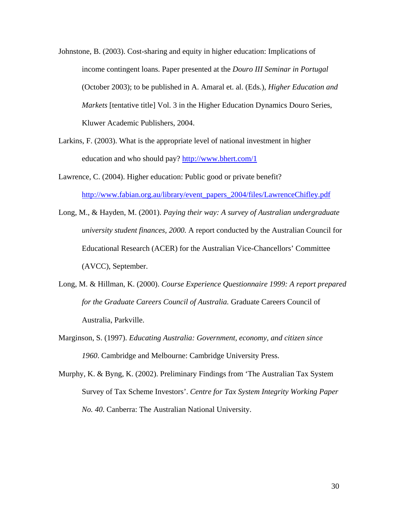- Johnstone, B. (2003). Cost-sharing and equity in higher education: Implications of income contingent loans. Paper presented at the *Douro III Seminar in Portugal* (October 2003); to be published in A. Amaral et. al. (Eds.), *Higher Education and Markets* [tentative title] Vol. 3 in the Higher Education Dynamics Douro Series, Kluwer Academic Publishers, 2004.
- Larkins, F. (2003). What is the appropriate level of national investment in higher education and who should pay? http://www.bhert.com/1
- Lawrence, C. (2004). Higher education: Public good or private benefit? http://www.fabian.org.au/library/event\_papers\_2004/files/LawrenceChifley.pdf
- Long, M., & Hayden, M. (2001). *Paying their way: A survey of Australian undergraduate university student finances, 2000.* A report conducted by the Australian Council for Educational Research (ACER) for the Australian Vice-Chancellors' Committee (AVCC), September.
- Long, M. & Hillman, K. (2000). *Course Experience Questionnaire 1999: A report prepared for the Graduate Careers Council of Australia. Graduate Careers Council of* Australia, Parkville.
- Marginson, S. (1997). *Educating Australia: Government, economy, and citizen since 1960*. Cambridge and Melbourne: Cambridge University Press.
- Murphy, K. & Byng, K. (2002). Preliminary Findings from 'The Australian Tax System Survey of Tax Scheme Investors'. *Centre for Tax System Integrity Working Paper No. 40*. Canberra: The Australian National University.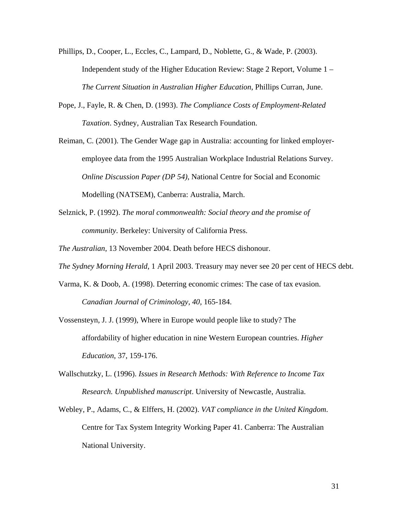- Phillips, D., Cooper, L., Eccles, C., Lampard, D., Noblette, G., & Wade, P. (2003). Independent study of the Higher Education Review: Stage 2 Report, Volume 1 – *The Current Situation in Australian Higher Education*, Phillips Curran, June.
- Pope, J., Fayle, R. & Chen, D. (1993). *The Compliance Costs of Employment-Related Taxation*. Sydney, Australian Tax Research Foundation.
- Reiman, C. (2001). The Gender Wage gap in Australia: accounting for linked employeremployee data from the 1995 Australian Workplace Industrial Relations Survey. *Online Discussion Paper (DP 54)*, National Centre for Social and Economic Modelling (NATSEM), Canberra: Australia, March.
- Selznick, P. (1992). *The moral commonwealth: Social theory and the promise of community*. Berkeley: University of California Press.

*The Australian*, 13 November 2004. Death before HECS dishonour.

*The Sydney Morning Herald*, 1 April 2003. Treasury may never see 20 per cent of HECS debt.

- Varma, K. & Doob, A. (1998). Deterring economic crimes: The case of tax evasion. *Canadian Journal of Criminology*, *40,* 165-184.
- Vossensteyn, J. J. (1999), Where in Europe would people like to study? The affordability of higher education in nine Western European countries. *Higher Education*, 37, 159-176.
- Wallschutzky, L. (1996). *Issues in Research Methods: With Reference to Income Tax Research. Unpublished manuscript*. University of Newcastle, Australia.
- Webley, P., Adams, C., & Elffers, H. (2002). *VAT compliance in the United Kingdom*. Centre for Tax System Integrity Working Paper 41. Canberra: The Australian National University.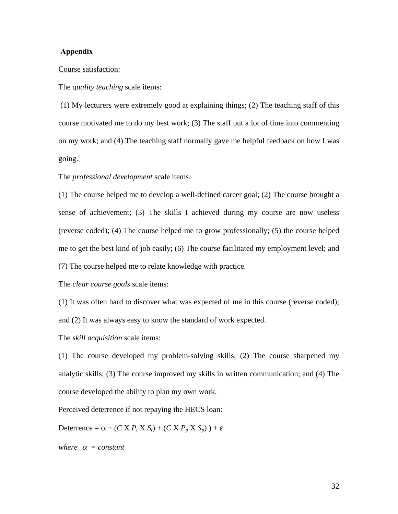#### **Appendix**

#### Course satisfaction:

The *quality teaching* scale items:

 (1) My lecturers were extremely good at explaining things; (2) The teaching staff of this course motivated me to do my best work; (3) The staff put a lot of time into commenting on my work; and (4) The teaching staff normally gave me helpful feedback on how I was going.

The *professional development* scale items:

(1) The course helped me to develop a well-defined career goal; (2) The course brought a sense of achievement; (3) The skills I achieved during my course are now useless (reverse coded); (4) The course helped me to grow professionally; (5) the course helped me to get the best kind of job easily; (6) The course facilitated my employment level; and (7) The course helped me to relate knowledge with practice.

The *clear course goals* scale items:

(1) It was often hard to discover what was expected of me in this course (reverse coded); and (2) It was always easy to know the standard of work expected.

The *skill acquisition* scale items:

(1) The course developed my problem-solving skills; (2) The course sharpened my analytic skills; (3) The course improved my skills in written communication; and (4) The course developed the ability to plan my own work.

Perceived deterrence if not repaying the HECS loan:

Deterrence =  $\alpha$  + (*C* X *P<sub>t</sub>* X *S<sub>t</sub>*) + (*C* X *P<sub>p</sub>* X *S<sub>p</sub>*)) +  $\varepsilon$ 

*where* α *= constant*